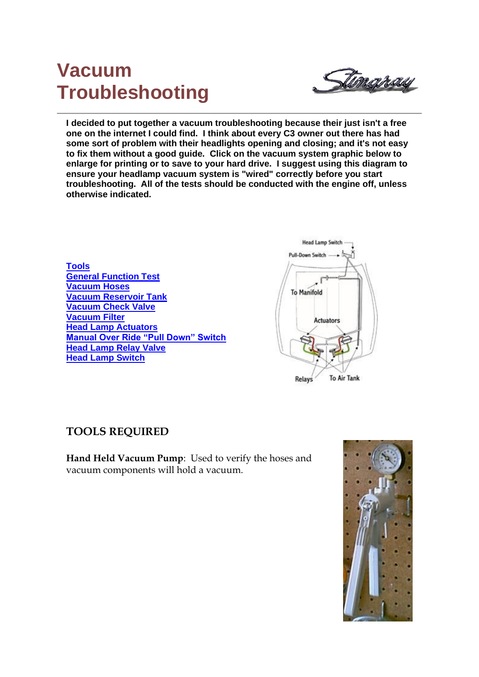# **Vacuum Troubleshooting**



**I decided to put together a vacuum troubleshooting because their just isn't a free one on the internet I could find. I think about every C3 owner out there has had some sort of problem with their headlights opening and closing; and it's not easy to fix them without a good guide. Click on the vacuum system graphic below to enlarge for printing or to save to your hard drive. I suggest using this diagram to ensure your headlamp vacuum system is "wired" correctly before you start troubleshooting. All of the tests should be conducted with the engine off, unless otherwise indicated.**



### **TOOLS REQUIRED**

**Hand Held Vacuum Pump**: Used to verify the hoses and vacuum components will hold a vacuum.

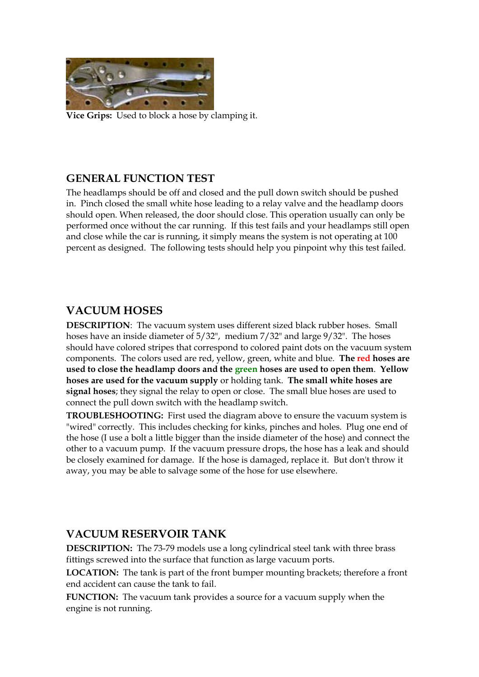

**Vice Grips:** Used to block a hose by clamping it.

#### **GENERAL FUNCTION TEST**

The headlamps should be off and closed and the pull down switch should be pushed in. Pinch closed the small white hose leading to a relay valve and the headlamp doors should open. When released, the door should close. This operation usually can only be performed once without the car running. If this test fails and your headlamps still open and close while the car is running, it simply means the system is not operating at 100 percent as designed. The following tests should help you pinpoint why this test failed.

#### **VACUUM HOSES**

**DESCRIPTION**: The vacuum system uses different sized black rubber hoses. Small hoses have an inside diameter of 5/32", medium 7/32" and large 9/32". The hoses should have colored stripes that correspond to colored paint dots on the vacuum system components. The colors used are red, yellow, green, white and blue. **The red hoses are used to close the headlamp doors and the green hoses are used to open them**. **Yellow hoses are used for the vacuum supply** or holding tank. **The small white hoses are signal hoses**; they signal the relay to open or close. The small blue hoses are used to connect the pull down switch with the headlamp switch.

**TROUBLESHOOTING:** First used the diagram above to ensure the vacuum system is "wired" correctly. This includes checking for kinks, pinches and holes. Plug one end of the hose (I use a bolt a little bigger than the inside diameter of the hose) and connect the other to a vacuum pump. If the vacuum pressure drops, the hose has a leak and should be closely examined for damage. If the hose is damaged, replace it. But don't throw it away, you may be able to salvage some of the hose for use elsewhere.

#### **VACUUM RESERVOIR TANK**

**DESCRIPTION:** The 73-79 models use a long cylindrical steel tank with three brass fittings screwed into the surface that function as large vacuum ports.

**LOCATION:** The tank is part of the front bumper mounting brackets; therefore a front end accident can cause the tank to fail.

**FUNCTION:** The vacuum tank provides a source for a vacuum supply when the engine is not running.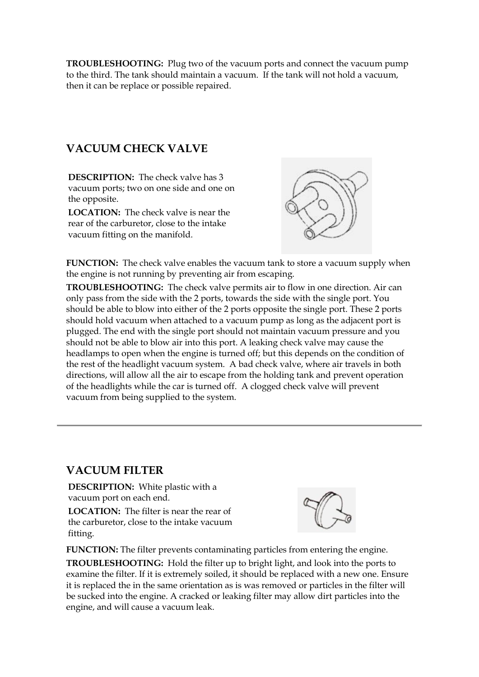**TROUBLESHOOTING:** Plug two of the vacuum ports and connect the vacuum pump to the third. The tank should maintain a vacuum. If the tank will not hold a vacuum, then it can be replace or possible repaired.

# **VACUUM CHECK VALVE**

**DESCRIPTION:** The check valve has 3 vacuum ports; two on one side and one on the opposite.

**LOCATION:** The check valve is near the rear of the carburetor, close to the intake vacuum fitting on the manifold.



**FUNCTION:** The check valve enables the vacuum tank to store a vacuum supply when the engine is not running by preventing air from escaping.

**TROUBLESHOOTING:** The check valve permits air to flow in one direction. Air can only pass from the side with the 2 ports, towards the side with the single port. You should be able to blow into either of the 2 ports opposite the single port. These 2 ports should hold vacuum when attached to a vacuum pump as long as the adjacent port is plugged. The end with the single port should not maintain vacuum pressure and you should not be able to blow air into this port. A leaking check valve may cause the headlamps to open when the engine is turned off; but this depends on the condition of the rest of the headlight vacuum system. A bad check valve, where air travels in both directions, will allow all the air to escape from the holding tank and prevent operation of the headlights while the car is turned off. A clogged check valve will prevent vacuum from being supplied to the system.

### **VACUUM FILTER**

**DESCRIPTION:** White plastic with a vacuum port on each end.

**LOCATION:** The filter is near the rear of the carburetor, close to the intake vacuum fitting.



**FUNCTION:** The filter prevents contaminating particles from entering the engine.

**TROUBLESHOOTING:** Hold the filter up to bright light, and look into the ports to examine the filter. If it is extremely soiled, it should be replaced with a new one. Ensure it is replaced the in the same orientation as is was removed or particles in the filter will be sucked into the engine. A cracked or leaking filter may allow dirt particles into the engine, and will cause a vacuum leak.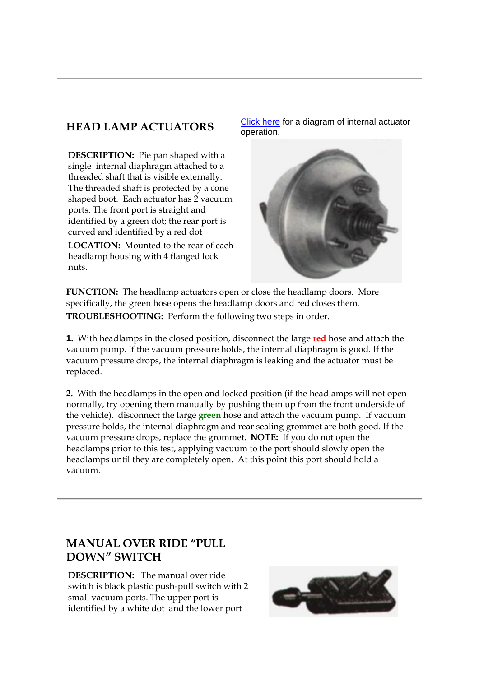**DESCRIPTION:** Pie pan shaped with a single internal diaphragm attached to a threaded shaft that is visible externally. The threaded shaft is protected by a cone shaped boot. Each actuator has 2 vacuum ports. The front port is straight and identified by a green dot; the rear port is curved and identified by a red dot

**LOCATION:** Mounted to the rear of each headlamp housing with 4 flanged lock nuts.

**HEAD LAMP ACTUATORS** [Click here](http://spectracreations.com/corvette-101/images/actuator.jpg) for a diagram of internal actuator operation.



**FUNCTION:** The headlamp actuators open or close the headlamp doors. More specifically, the green hose opens the headlamp doors and red closes them. **TROUBLESHOOTING:** Perform the following two steps in order.

**1.** With headlamps in the closed position, disconnect the large **red** hose and attach the vacuum pump. If the vacuum pressure holds, the internal diaphragm is good. If the vacuum pressure drops, the internal diaphragm is leaking and the actuator must be replaced.

**2.** With the headlamps in the open and locked position (if the headlamps will not open normally, try opening them manually by pushing them up from the front underside of the vehicle), disconnect the large **green** hose and attach the vacuum pump. If vacuum pressure holds, the internal diaphragm and rear sealing grommet are both good. If the vacuum pressure drops, replace the grommet. **NOTE:** If you do not open the headlamps prior to this test, applying vacuum to the port should slowly open the headlamps until they are completely open. At this point this port should hold a vacuum.

# **MANUAL OVER RIDE "PULL DOWN" SWITCH**

**DESCRIPTION:** The manual over ride switch is black plastic push-pull switch with 2 small vacuum ports. The upper port is identified by a white dot and the lower port

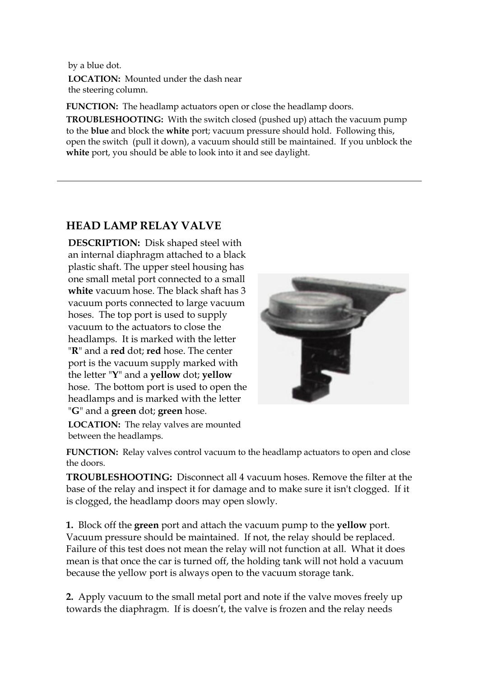by a blue dot. **LOCATION:** Mounted under the dash near the steering column.

**FUNCTION:** The headlamp actuators open or close the headlamp doors.

**TROUBLESHOOTING:** With the switch closed (pushed up) attach the vacuum pump to the **blue** and block the **white** port; vacuum pressure should hold. Following this, open the switch (pull it down), a vacuum should still be maintained. If you unblock the **white** port, you should be able to look into it and see daylight.

# **HEAD LAMP RELAY VALVE**

**DESCRIPTION:** Disk shaped steel with an internal diaphragm attached to a black plastic shaft. The upper steel housing has one small metal port connected to a small **white** vacuum hose. The black shaft has 3 vacuum ports connected to large vacuum hoses. The top port is used to supply vacuum to the actuators to close the headlamps. It is marked with the letter "**R**" and a **red** dot; **red** hose. The center port is the vacuum supply marked with the letter "**Y**" and a **yellow** dot; **yellow** hose. The bottom port is used to open the headlamps and is marked with the letter "**G**" and a **green** dot; **green** hose.



**LOCATION:** The relay valves are mounted between the headlamps.

**FUNCTION:** Relay valves control vacuum to the headlamp actuators to open and close the doors.

**TROUBLESHOOTING:** Disconnect all 4 vacuum hoses. Remove the filter at the base of the relay and inspect it for damage and to make sure it isn't clogged. If it is clogged, the headlamp doors may open slowly.

**1.** Block off the **green** port and attach the vacuum pump to the **yellow** port. Vacuum pressure should be maintained. If not, the relay should be replaced. Failure of this test does not mean the relay will not function at all. What it does mean is that once the car is turned off, the holding tank will not hold a vacuum because the yellow port is always open to the vacuum storage tank.

**2.** Apply vacuum to the small metal port and note if the valve moves freely up towards the diaphragm. If is doesn't, the valve is frozen and the relay needs